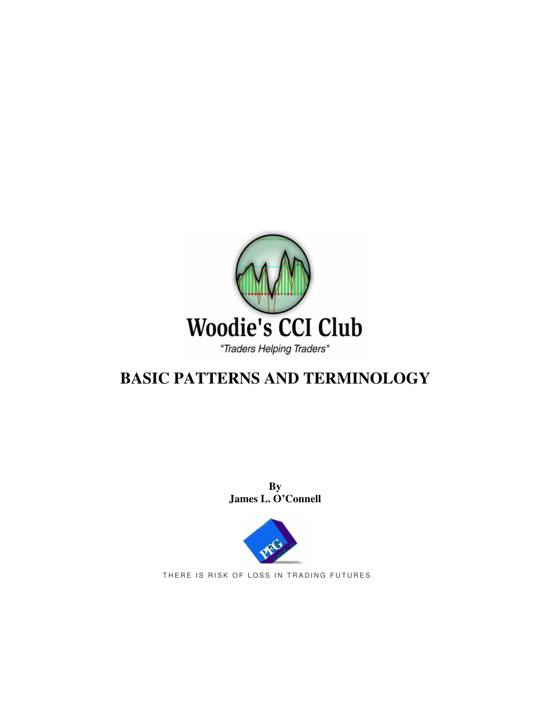

# **BASIC PATTERNS AND TERMINOLOGY**

**By James L. O'Connell**



THERE IS RISK OF LOSS IN TRADING FUTURES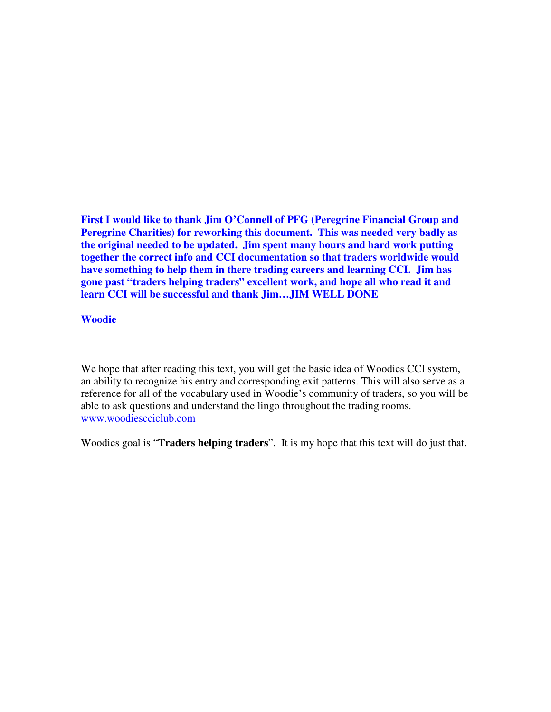**First I would like to thank Jim O'Connell of PFG (Peregrine Financial Group and Peregrine Charities) for reworking this document. This was needed very badly as the original needed to be updated. Jim spent many hours and hard work putting together the correct info and CCI documentation so that traders worldwide would have something to help them in there trading careers and learning CCI. Jim has gone past "traders helping traders" excellent work, and hope all who read it and learn CCI will be successful and thank Jim…JIM WELL DONE**

#### **Woodie**

We hope that after reading this text, you will get the basic idea of Woodies CCI system, an ability to recognize his entry and corresponding exit patterns. This will also serve as a reference for all of the vocabulary used in Woodie's community of traders, so you will be able to ask questions and understand the lingo throughout the trading rooms. www.woodiescciclub.com

Woodies goal is "**Traders helping traders**". It is my hope that this text will do just that.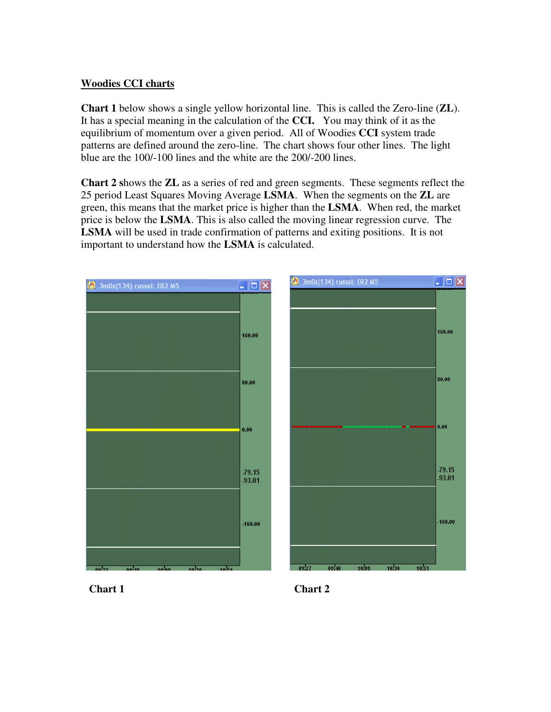## **Woodies CCI charts**

**Chart 1** below shows a single yellow horizontal line. This is called the Zero-line (**ZL**). It has a special meaning in the calculation of the **CCI.** You may think of it as the equilibrium of momentum over a given period. All of Woodies **CCI** system trade patterns are defined around the zero-line. The chart shows four other lines. The light blue are the 100/-100 lines and the white are the 200/-200 lines.

**Chart 2 s**hows the **ZL** as a series of red and green segments. These segments reflect the 25 period Least Squares Moving Average **LSMA**. When the segments on the **ZL** are green, this means that the market price is higher than the **LSMA**. When red, the market price is below the **LSMA**. This is also called the moving linear regression curve. The **LSMA** will be used in trade confirmation of patterns and exiting positions. It is not important to understand how the **LSMA** is calculated.



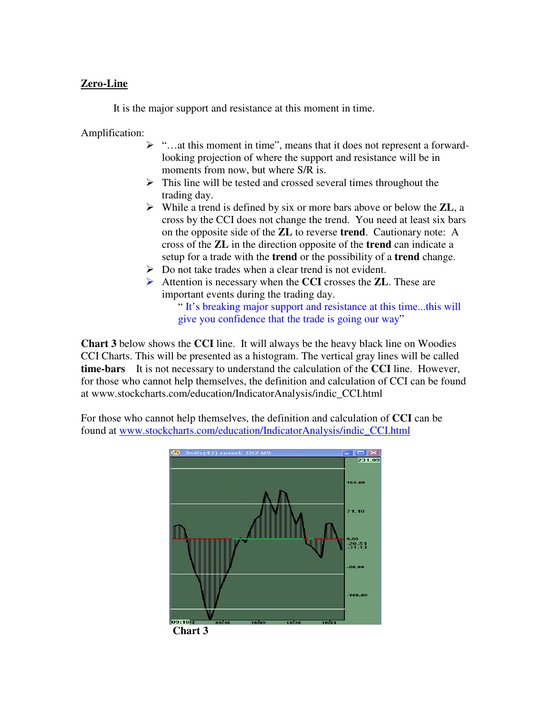## **Zero-Line**

It is the major support and resistance at this moment in time.

Amplification:

- $\triangleright$  "...at this moment in time", means that it does not represent a forwardlooking projection of where the support and resistance will be in moments from now, but where S/R is.
- $\triangleright$  This line will be tested and crossed several times throughout the trading day.
- While a trend is defined by six or more bars above or below the **ZL**, a cross by the CCI does not change the trend. You need at least six bars on the opposite side of the **ZL** to reverse **trend**. Cautionary note: A cross of the **ZL** in the direction opposite of the **trend** can indicate a setup for a trade with the **trend** or the possibility of a **trend** change.
- $\triangleright$  Do not take trades when a clear trend is not evident.
- Attention is necessary when the **CCI** crosses the **ZL**. These are important events during the trading day.

" It's breaking major support and resistance at this time...this will give you confidence that the trade is going our way"

**Chart 3** below shows the **CCI** line. It will always be the heavy black line on Woodies CCI Charts. This will be presented as a histogram. The vertical gray lines will be called **time-bars** It is not necessary to understand the calculation of the **CCI** line. However, for those who cannot help themselves, the definition and calculation of CCI can be found at www.stockcharts.com/education/IndicatorAnalysis/indic\_CCI.html

For those who cannot help themselves, the definition and calculation of **CCI** can be found at www.stockcharts.com/education/IndicatorAnalysis/indic\_CCI.html



**Chart 3**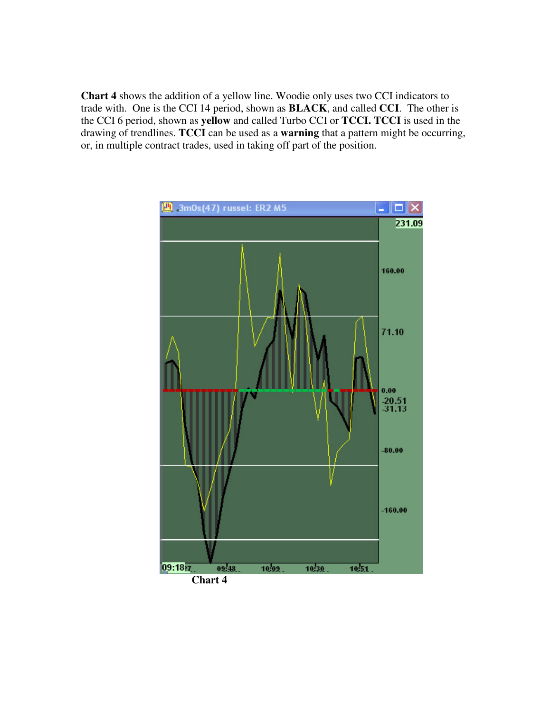**Chart 4** shows the addition of a yellow line. Woodie only uses two CCI indicators to trade with. One is the CCI 14 period, shown as **BLACK**, and called **CCI**. The other is the CCI 6 period, shown as **yellow** and called Turbo CCI or **TCCI. TCCI** is used in the drawing of trendlines. **TCCI** can be used as a **warning** that a pattern might be occurring, or, in multiple contract trades, used in taking off part of the position.

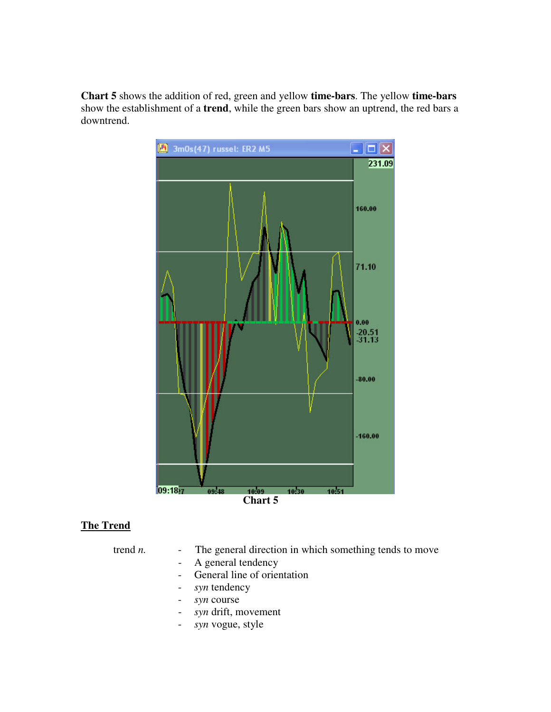**Chart 5** shows the addition of red, green and yellow **time-bars**. The yellow **time-bars** show the establishment of a **trend**, while the green bars show an uptrend, the red bars a downtrend.



## **The Trend**

- trend *n*. The general direction in which something tends to move
	- A general tendency
	- General line of orientation
	- *syn* tendency
	- *syn* course
	- *syn* drift, movement
	- *syn* vogue, style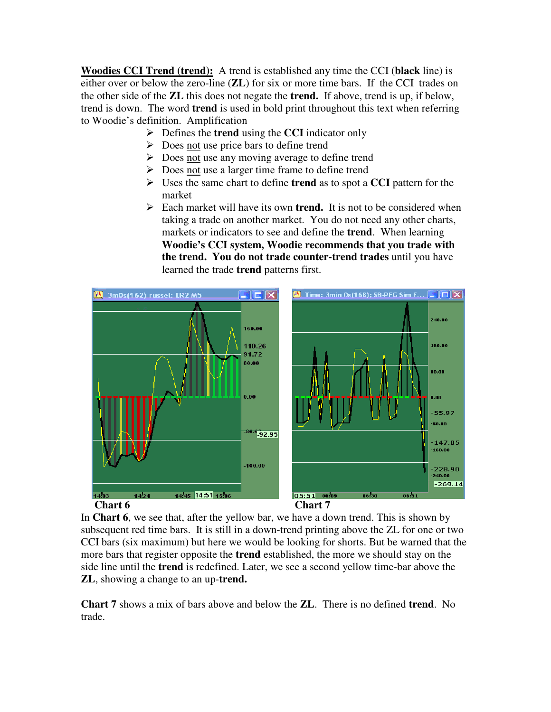**Woodies CCI Trend (trend):** A trend is established any time the CCI (**black** line) is either over or below the zero-line (**ZL**) for six or more time bars. If the CCI trades on the other side of the **ZL** this does not negate the **trend.** If above, trend is up, if below, trend is down. The word **trend** is used in bold print throughout this text when referring to Woodie's definition. Amplification

- Defines the **trend** using the **CCI** indicator only
- $\triangleright$  Does not use price bars to define trend
- $\triangleright$  Does not use any moving average to define trend
- $\triangleright$  Does not use a larger time frame to define trend
- Uses the same chart to define **trend** as to spot a **CCI** pattern for the market
- Each market will have its own **trend.** It is not to be considered when taking a trade on another market. You do not need any other charts, markets or indicators to see and define the **trend**. When learning **Woodie's CCI system, Woodie recommends that you trade with the trend. You do not trade counter-trend trades** until you have learned the trade **trend** patterns first.



In **Chart 6**, we see that, after the yellow bar, we have a down trend. This is shown by subsequent red time bars. It is still in a down-trend printing above the ZL for one or two CCI bars (six maximum) but here we would be looking for shorts. But be warned that the more bars that register opposite the **trend** established, the more we should stay on the side line until the **trend** is redefined. Later, we see a second yellow time-bar above the **ZL**, showing a change to an up-**trend.**

**Chart 7** shows a mix of bars above and below the **ZL**. There is no defined **trend**. No trade.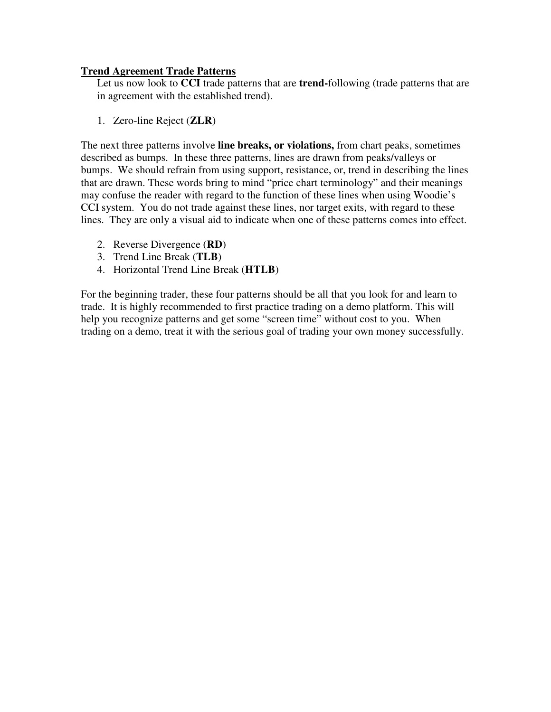### **Trend Agreement Trade Patterns**

Let us now look to **CCI** trade patterns that are **trend-**following (trade patterns that are in agreement with the established trend).

1. Zero-line Reject (**ZLR**)

The next three patterns involve **line breaks, or violations,** from chart peaks, sometimes described as bumps. In these three patterns, lines are drawn from peaks/valleys or bumps. We should refrain from using support, resistance, or, trend in describing the lines that are drawn. These words bring to mind "price chart terminology" and their meanings may confuse the reader with regard to the function of these lines when using Woodie's CCI system. You do not trade against these lines, nor target exits, with regard to these lines. They are only a visual aid to indicate when one of these patterns comes into effect.

- 2. Reverse Divergence (**RD**)
- 3. Trend Line Break (**TLB**)
- 4. Horizontal Trend Line Break (**HTLB**)

For the beginning trader, these four patterns should be all that you look for and learn to trade. It is highly recommended to first practice trading on a demo platform. This will help you recognize patterns and get some "screen time" without cost to you. When trading on a demo, treat it with the serious goal of trading your own money successfully.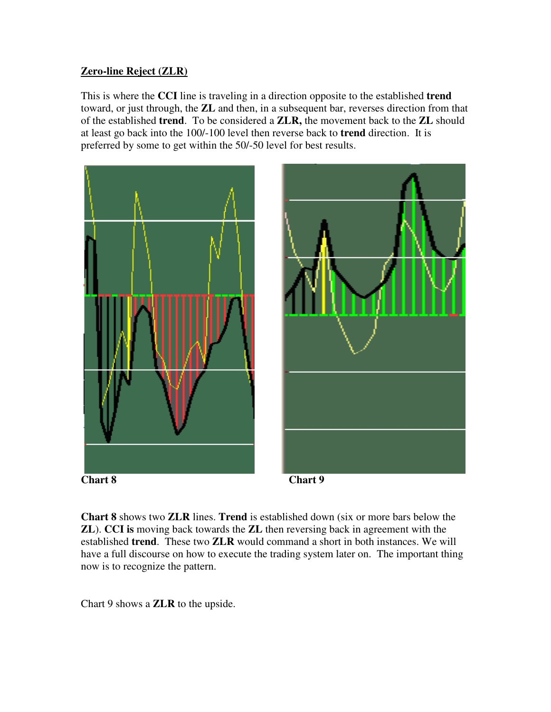# **Zero-line Reject (ZLR)**

This is where the **CCI** line is traveling in a direction opposite to the established **trend** toward, or just through, the **ZL** and then, in a subsequent bar, reverses direction from that of the established **trend**. To be considered a **ZLR,** the movement back to the **ZL** should at least go back into the 100/-100 level then reverse back to **trend** direction. It is preferred by some to get within the 50/-50 level for best results.







**Chart 8** shows two **ZLR** lines. **Trend** is established down (six or more bars below the **ZL**). **CCI is** moving back towards the **ZL** then reversing back in agreement with the established **trend**. These two **ZLR** would command a short in both instances. We will have a full discourse on how to execute the trading system later on. The important thing now is to recognize the pattern.

Chart 9 shows a **ZLR** to the upside.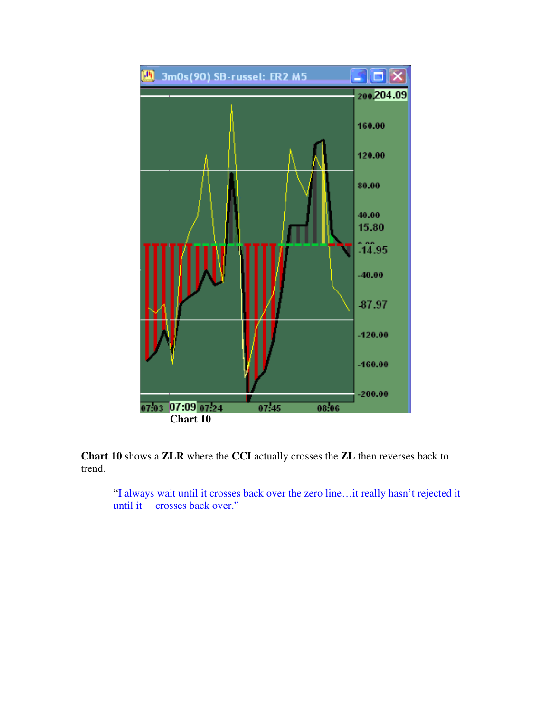

**Chart 10** shows a **ZLR** where the **CCI** actually crosses the **ZL** then reverses back to trend.

"I always wait until it crosses back over the zero line…it really hasn't rejected it until it crosses back over."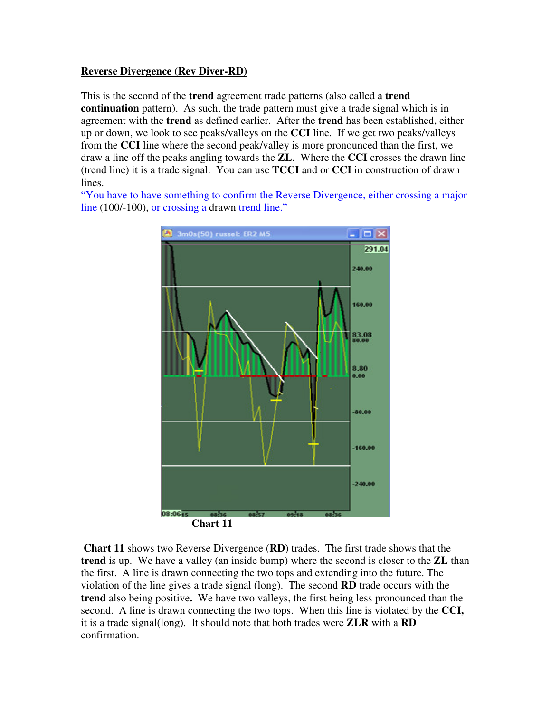## **Reverse Divergence (Rev Diver-RD)**

This is the second of the **trend** agreement trade patterns (also called a **trend continuation** pattern). As such, the trade pattern must give a trade signal which is in agreement with the **trend** as defined earlier. After the **trend** has been established, either up or down, we look to see peaks/valleys on the **CCI** line. If we get two peaks/valleys from the **CCI** line where the second peak/valley is more pronounced than the first, we draw a line off the peaks angling towards the **ZL**. Where the **CCI** crosses the drawn line (trend line) it is a trade signal. You can use **TCCI** and or **CCI** in construction of drawn lines.

"You have to have something to confirm the Reverse Divergence, either crossing a major line (100/-100), or crossing a drawn trend line."



**Chart 11** shows two Reverse Divergence (**RD**) trades. The first trade shows that the **trend** is up. We have a valley (an inside bump) where the second is closer to the **ZL** than the first. A line is drawn connecting the two tops and extending into the future. The violation of the line gives a trade signal (long). The second **RD** trade occurs with the **trend** also being positive**.** We have two valleys, the first being less pronounced than the second. A line is drawn connecting the two tops. When this line is violated by the **CCI,** it is a trade signal(long). It should note that both trades were **ZLR** with a **RD** confirmation.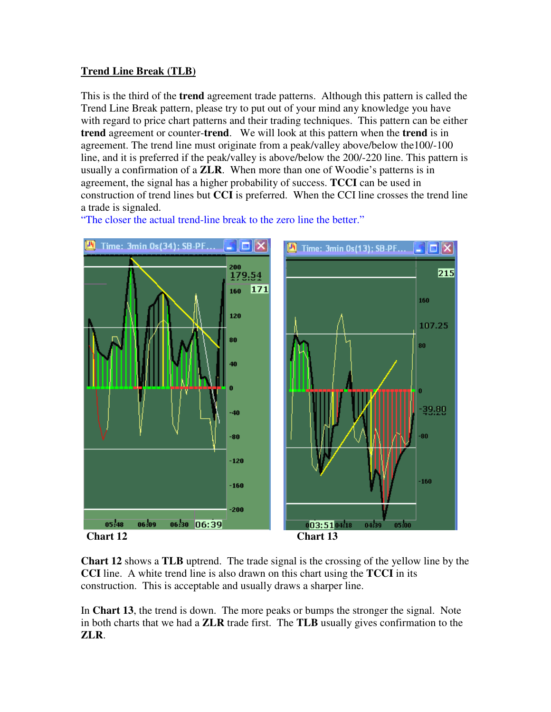# **Trend Line Break (TLB)**

This is the third of the **trend** agreement trade patterns. Although this pattern is called the Trend Line Break pattern, please try to put out of your mind any knowledge you have with regard to price chart patterns and their trading techniques. This pattern can be either **trend** agreement or counter-**trend**. We will look at this pattern when the **trend** is in agreement. The trend line must originate from a peak/valley above/below the100/-100 line, and it is preferred if the peak/valley is above/below the 200/-220 line. This pattern is usually a confirmation of a **ZLR**. When more than one of Woodie's patterns is in agreement, the signal has a higher probability of success. **TCCI** can be used in construction of trend lines but **CCI** is preferred. When the CCI line crosses the trend line a trade is signaled.

"The closer the actual trend-line break to the zero line the better."



**Chart 12** shows a **TLB** uptrend. The trade signal is the crossing of the yellow line by the **CCI** line. A white trend line is also drawn on this chart using the **TCCI** in its construction. This is acceptable and usually draws a sharper line.

In **Chart 13**, the trend is down. The more peaks or bumps the stronger the signal. Note in both charts that we had a **ZLR** trade first. The **TLB** usually gives confirmation to the **ZLR**.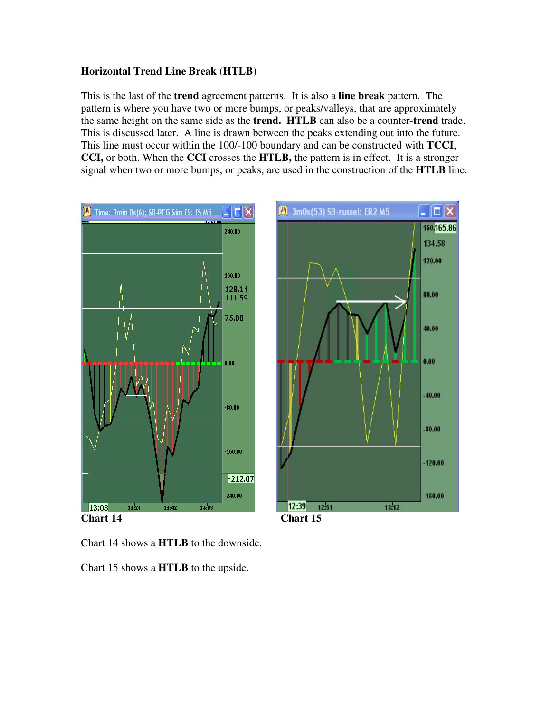## **Horizontal Trend Line Break (HTLB)**

This is the last of the **trend** agreement patterns. It is also a **line break** pattern. The pattern is where you have two or more bumps, or peaks/valleys, that are approximately the same height on the same side as the **trend. HTLB** can also be a counter-**trend** trade. This is discussed later. A line is drawn between the peaks extending out into the future. This line must occur within the 100/-100 boundary and can be constructed with **TCCI**, **CCI,** or both. When the **CCI** crosses the **HTLB,** the pattern is in effect. It is a stronger signal when two or more bumps, or peaks, are used in the construction of the **HTLB** line.



Chart 14 shows a **HTLB** to the downside.

Chart 15 shows a **HTLB** to the upside.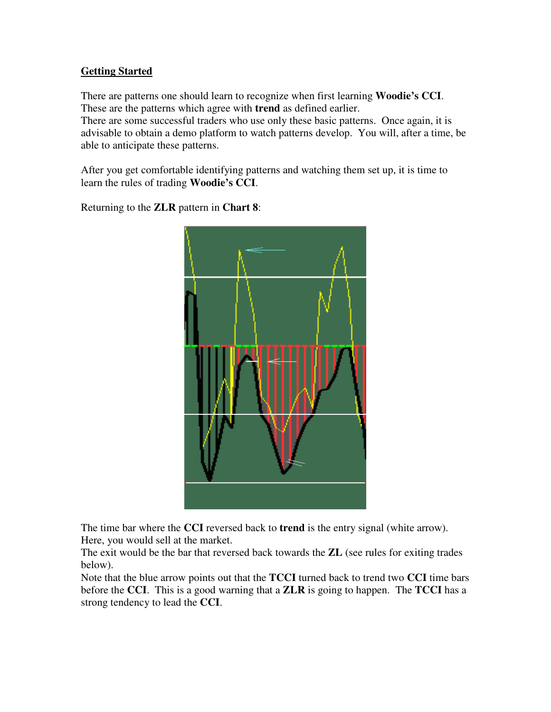# **Getting Started**

There are patterns one should learn to recognize when first learning **Woodie's CCI**. These are the patterns which agree with **trend** as defined earlier.

There are some successful traders who use only these basic patterns. Once again, it is advisable to obtain a demo platform to watch patterns develop. You will, after a time, be able to anticipate these patterns.

After you get comfortable identifying patterns and watching them set up, it is time to learn the rules of trading **Woodie's CCI**.

Returning to the **ZLR** pattern in **Chart 8**:



The time bar where the **CCI** reversed back to **trend** is the entry signal (white arrow). Here, you would sell at the market.

The exit would be the bar that reversed back towards the **ZL** (see rules for exiting trades below).

Note that the blue arrow points out that the **TCCI** turned back to trend two **CCI** time bars before the **CCI**. This is a good warning that a **ZLR** is going to happen. The **TCCI** has a strong tendency to lead the **CCI**.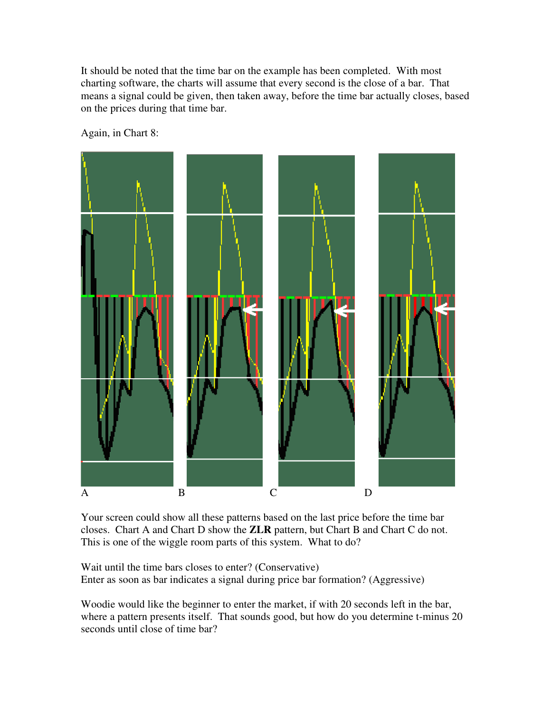It should be noted that the time bar on the example has been completed. With most charting software, the charts will assume that every second is the close of a bar. That means a signal could be given, then taken away, before the time bar actually closes, based on the prices during that time bar.

Again, in Chart 8:



Your screen could show all these patterns based on the last price before the time bar closes. Chart A and Chart D show the **ZLR** pattern, but Chart B and Chart C do not. This is one of the wiggle room parts of this system. What to do?

Wait until the time bars closes to enter? (Conservative) Enter as soon as bar indicates a signal during price bar formation? (Aggressive)

Woodie would like the beginner to enter the market, if with 20 seconds left in the bar, where a pattern presents itself. That sounds good, but how do you determine t-minus 20 seconds until close of time bar?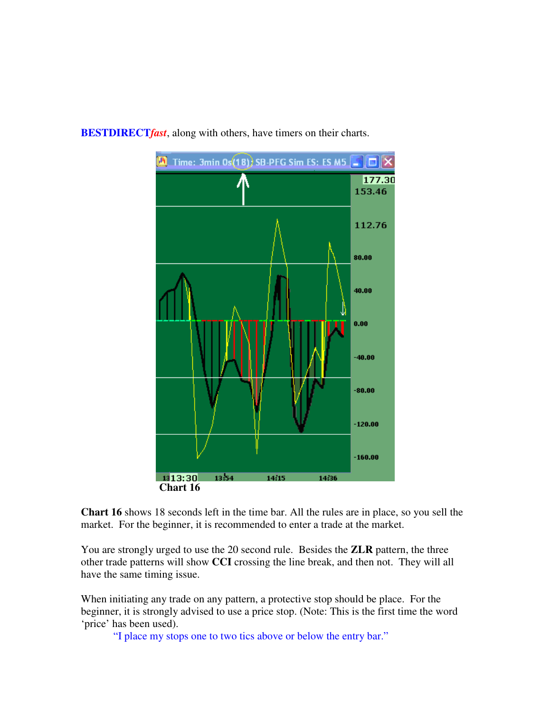

**BESTDIRECT***fast*, along with others, have timers on their charts.

**Chart 16** shows 18 seconds left in the time bar. All the rules are in place, so you sell the market. For the beginner, it is recommended to enter a trade at the market.

You are strongly urged to use the 20 second rule. Besides the **ZLR** pattern, the three other trade patterns will show **CCI** crossing the line break, and then not. They will all have the same timing issue.

When initiating any trade on any pattern, a protective stop should be place. For the beginner, it is strongly advised to use a price stop. (Note: This is the first time the word 'price' has been used).

"I place my stops one to two tics above or below the entry bar."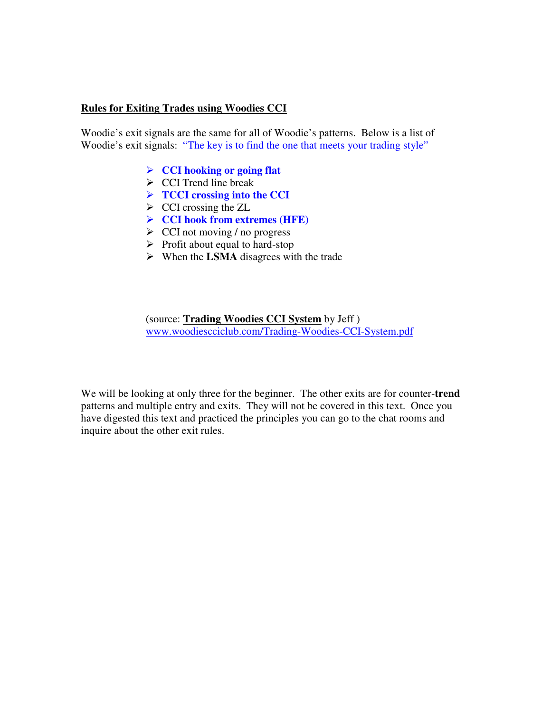#### **Rules for Exiting Trades using Woodies CCI**

Woodie's exit signals are the same for all of Woodie's patterns. Below is a list of Woodie's exit signals: "The key is to find the one that meets your trading style"

- **CCI hooking or going flat**
- $\triangleright$  CCI Trend line break
- **TCCI crossing into the CCI**
- $\triangleright$  CCI crossing the ZL
- **CCI hook from extremes (HFE)**
- $\triangleright$  CCI not moving / no progress
- $\triangleright$  Profit about equal to hard-stop
- $\triangleright$  When the LSMA disagrees with the trade

(source: **Trading Woodies CCI System** by Jeff ) www.woodiescciclub.com/Trading-Woodies-CCI-System.pdf

We will be looking at only three for the beginner. The other exits are for counter-**trend** patterns and multiple entry and exits. They will not be covered in this text. Once you have digested this text and practiced the principles you can go to the chat rooms and inquire about the other exit rules.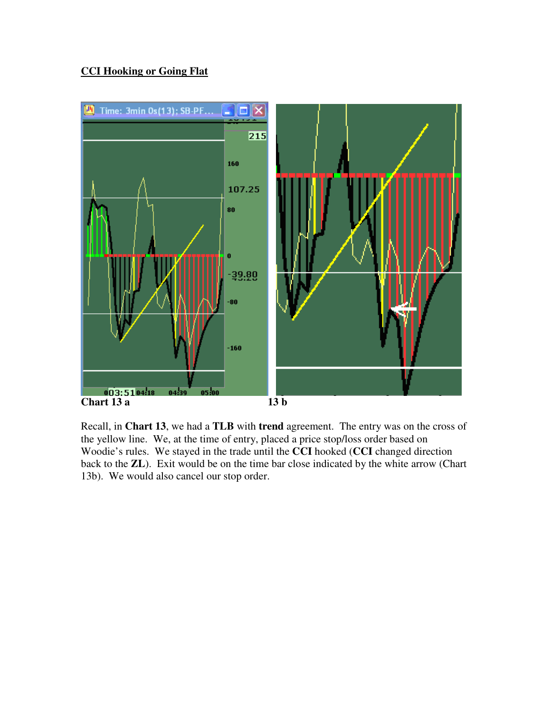# **CCI Hooking or Going Flat**



Recall, in **Chart 13**, we had a **TLB** with **trend** agreement. The entry was on the cross of the yellow line. We, at the time of entry, placed a price stop/loss order based on Woodie's rules. We stayed in the trade until the **CCI** hooked (**CCI** changed direction back to the **ZL**). Exit would be on the time bar close indicated by the white arrow (Chart 13b). We would also cancel our stop order.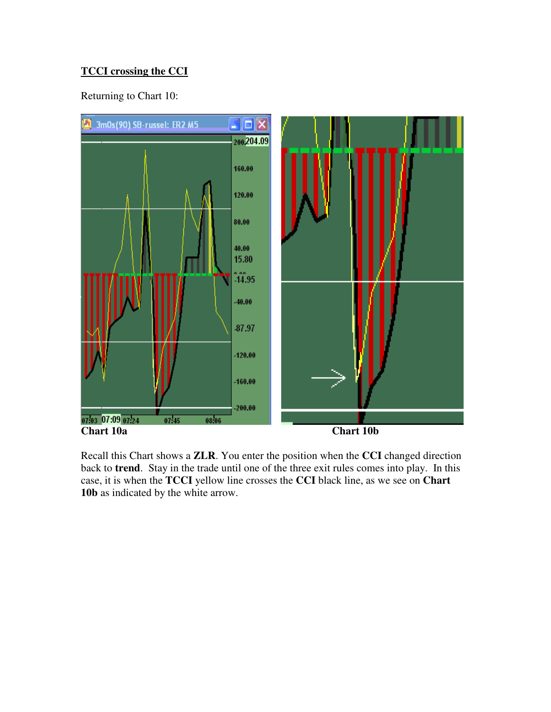# **TCCI crossing the CCI**

Returning to Chart 10:



Recall this Chart shows a **ZLR**. You enter the position when the **CCI** changed direction back to **trend**. Stay in the trade until one of the three exit rules comes into play. In this case, it is when the **TCCI** yellow line crosses the **CCI** black line, as we see on **Chart 10b** as indicated by the white arrow.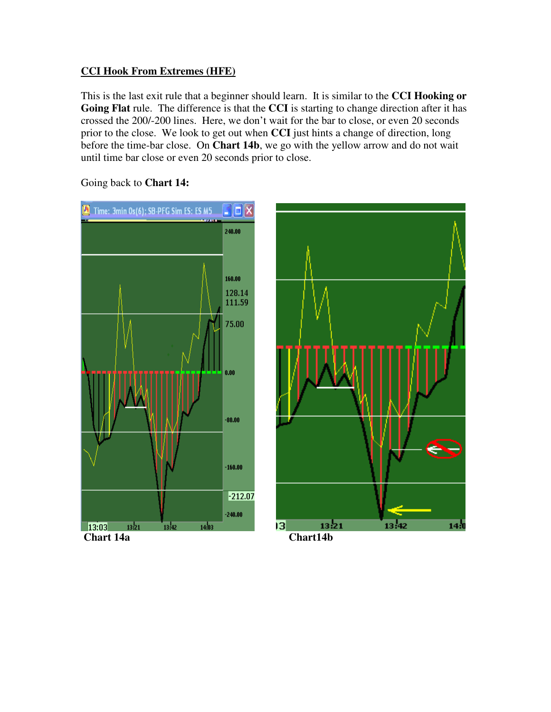# **CCI Hook From Extremes (HFE)**

This is the last exit rule that a beginner should learn. It is similar to the **CCI Hooking or Going Flat** rule. The difference is that the **CCI** is starting to change direction after it has crossed the 200/-200 lines. Here, we don't wait for the bar to close, or even 20 seconds prior to the close. We look to get out when **CCI** just hints a change of direction, long before the time-bar close. On **Chart 14b**, we go with the yellow arrow and do not wait until time bar close or even 20 seconds prior to close.



Going back to **Chart 14:**

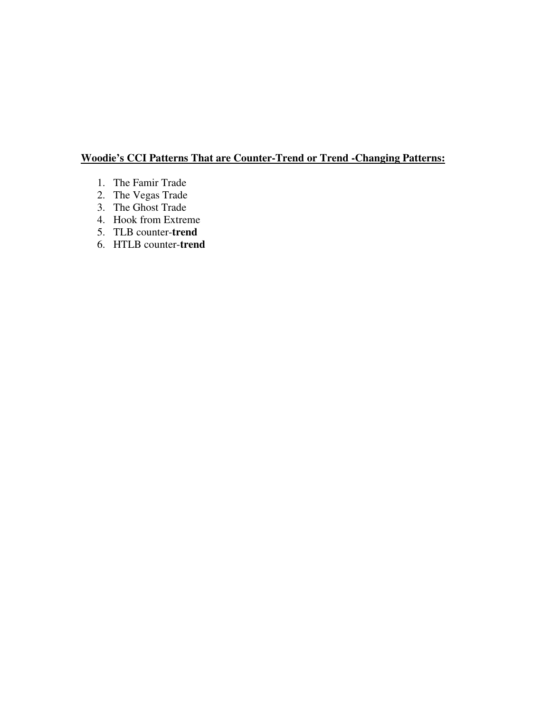# **Woodie's CCI Patterns That are Counter-Trend or Trend -Changing Patterns:**

- 1. The Famir Trade
- 2. The Vegas Trade
- 3. The Ghost Trade
- 4. Hook from Extreme
- 5. TLB counter-**trend**
- 6. HTLB counter-**trend**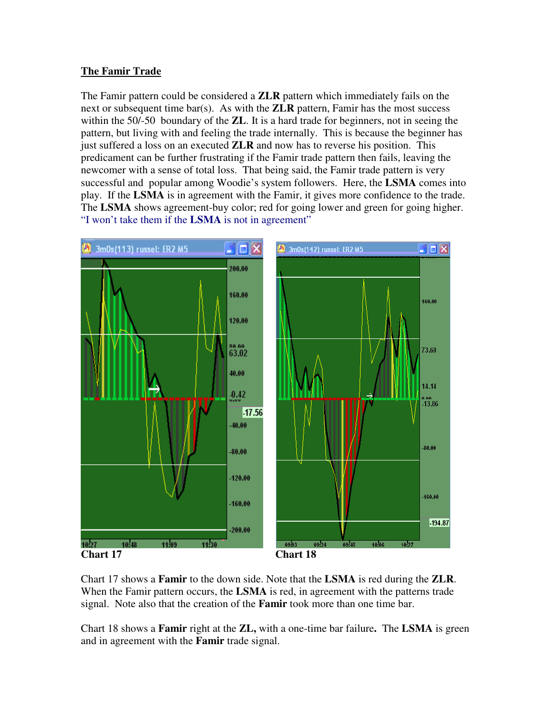# **The Famir Trade**

The Famir pattern could be considered a **ZLR** pattern which immediately fails on the next or subsequent time bar(s). As with the **ZLR** pattern, Famir has the most success within the 50/-50 boundary of the **ZL**. It is a hard trade for beginners, not in seeing the pattern, but living with and feeling the trade internally. This is because the beginner has just suffered a loss on an executed **ZLR** and now has to reverse his position. This predicament can be further frustrating if the Famir trade pattern then fails, leaving the newcomer with a sense of total loss. That being said, the Famir trade pattern is very successful and popular among Woodie's system followers. Here, the **LSMA** comes into play. If the **LSMA** is in agreement with the Famir, it gives more confidence to the trade. The **LSMA** shows agreement-buy color; red for going lower and green for going higher. "I won't take them if the **LSMA** is not in agreement"



Chart 17 shows a **Famir** to the down side. Note that the **LSMA** is red during the **ZLR**. When the Famir pattern occurs, the **LSMA** is red, in agreement with the patterns trade signal. Note also that the creation of the **Famir** took more than one time bar.

Chart 18 shows a **Famir** right at the **ZL,** with a one-time bar failure**.** The **LSMA** is green and in agreement with the **Famir** trade signal.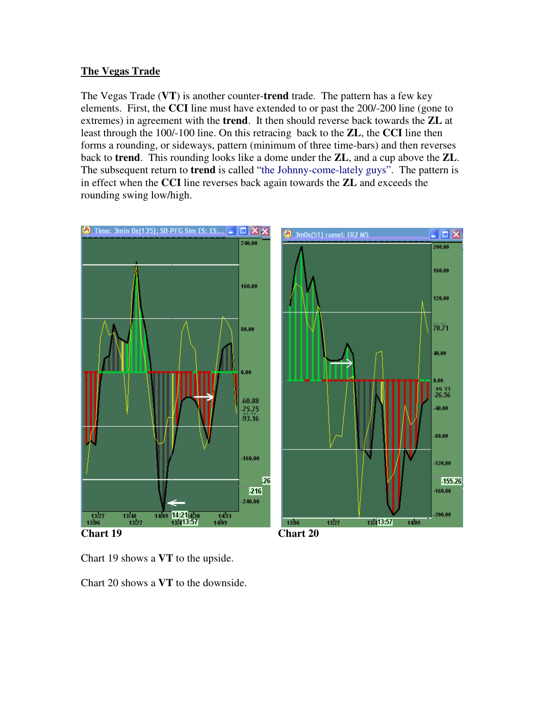## **The Vegas Trade**

The Vegas Trade (**VT**) is another counter-**trend** trade. The pattern has a few key elements. First, the **CCI** line must have extended to or past the 200/-200 line (gone to extremes) in agreement with the **trend**. It then should reverse back towards the **ZL** at least through the 100/-100 line. On this retracing back to the **ZL**, the **CCI** line then forms a rounding, or sideways, pattern (minimum of three time-bars) and then reverses back to **trend**. This rounding looks like a dome under the **ZL**, and a cup above the **ZL**. The subsequent return to **trend** is called "the Johnny-come-lately guys". The pattern is in effect when the **CCI** line reverses back again towards the **ZL** and exceeds the rounding swing low/high.

![](_page_22_Figure_2.jpeg)

Chart 19 shows a **VT** to the upside.

Chart 20 shows a **VT** to the downside.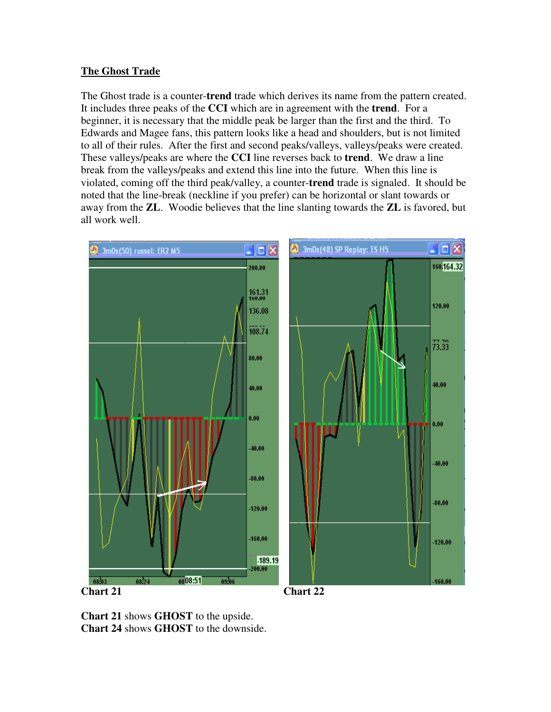# **The Ghost Trade**

The Ghost trade is a counter-**trend** trade which derives its name from the pattern created. It includes three peaks of the **CCI** which are in agreement with the **trend**. For a beginner, it is necessary that the middle peak be larger than the first and the third. To Edwards and Magee fans, this pattern looks like a head and shoulders, but is not limited to all of their rules. After the first and second peaks/valleys, valleys/peaks were created. These valleys/peaks are where the **CCI** line reverses back to **trend**. We draw a line break from the valleys/peaks and extend this line into the future. When this line is violated, coming off the third peak/valley, a counter-**trend** trade is signaled. It should be noted that the line-break (neckline if you prefer) can be horizontal or slant towards or away from the **ZL**. Woodie believes that the line slanting towards the **ZL** is favored, but all work well.

![](_page_23_Figure_2.jpeg)

**Chart 21** shows **GHOST** to the upside. **Chart 24** shows **GHOST** to the downside.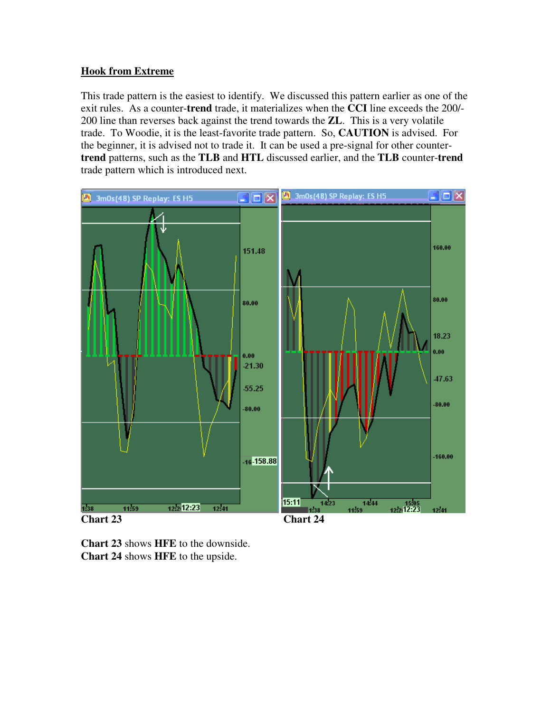# **Hook from Extreme**

This trade pattern is the easiest to identify. We discussed this pattern earlier as one of the exit rules. As a counter-**trend** trade, it materializes when the **CCI** line exceeds the 200/- 200 line than reverses back against the trend towards the **ZL**. This is a very volatile trade. To Woodie, it is the least-favorite trade pattern. So, **CAUTION** is advised. For the beginner, it is advised not to trade it. It can be used a pre-signal for other counter**trend** patterns, such as the **TLB** and **HTL** discussed earlier, and the **TLB** counter-**trend** trade pattern which is introduced next.

![](_page_24_Figure_2.jpeg)

**Chart 23** shows **HFE** to the downside. **Chart 24** shows **HFE** to the upside.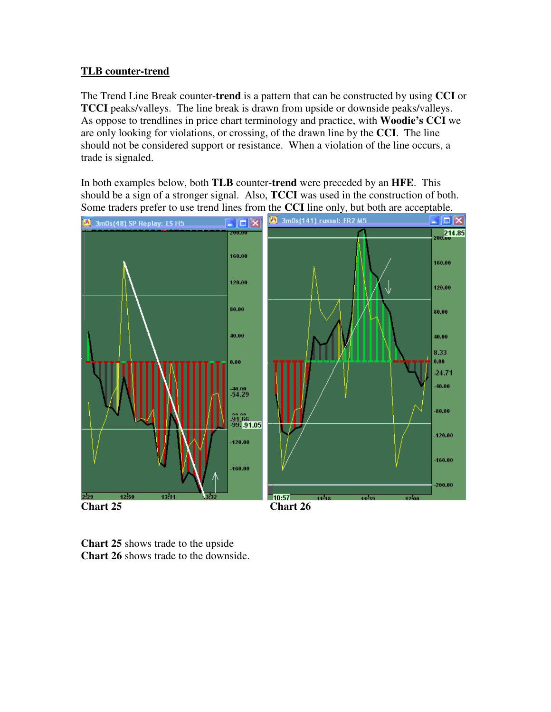# **TLB counter-trend**

The Trend Line Break counter-**trend** is a pattern that can be constructed by using **CCI** or **TCCI** peaks/valleys. The line break is drawn from upside or downside peaks/valleys. As oppose to trendlines in price chart terminology and practice, with **Woodie's CCI** we are only looking for violations, or crossing, of the drawn line by the **CCI**. The line should not be considered support or resistance. When a violation of the line occurs, a trade is signaled.

In both examples below, both **TLB** counter-**trend** were preceded by an **HFE**. This should be a sign of a stronger signal. Also, **TCCI** was used in the construction of both. Some traders prefer to use trend lines from the **CCI** line only, but both are acceptable.

![](_page_25_Figure_3.jpeg)

**Chart 25** shows trade to the upside **Chart 26** shows trade to the downside.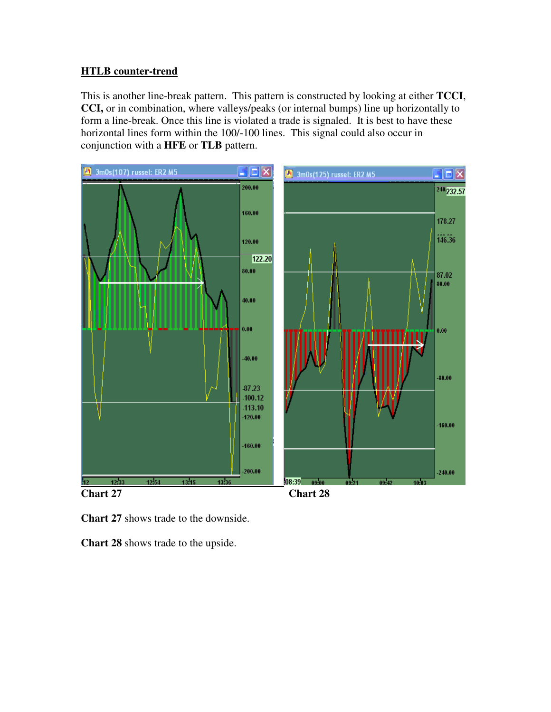## **HTLB counter-trend**

This is another line-break pattern. This pattern is constructed by looking at either **TCCI**, **CCI,** or in combination, where valleys/peaks (or internal bumps) line up horizontally to form a line-break. Once this line is violated a trade is signaled. It is best to have these horizontal lines form within the 100/-100 lines. This signal could also occur in conjunction with a **HFE** or **TLB** pattern.

![](_page_26_Figure_2.jpeg)

![](_page_26_Figure_3.jpeg)

**Chart 28** shows trade to the upside.